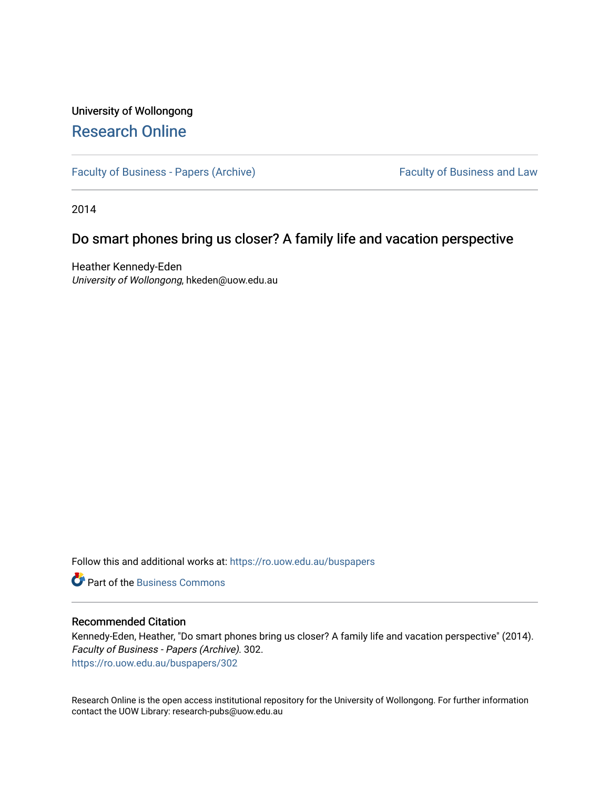# University of Wollongong [Research Online](https://ro.uow.edu.au/)

[Faculty of Business - Papers \(Archive\)](https://ro.uow.edu.au/buspapers) Faculty of Business and Law

2014

# Do smart phones bring us closer? A family life and vacation perspective

Heather Kennedy-Eden University of Wollongong, hkeden@uow.edu.au

Follow this and additional works at: [https://ro.uow.edu.au/buspapers](https://ro.uow.edu.au/buspapers?utm_source=ro.uow.edu.au%2Fbuspapers%2F302&utm_medium=PDF&utm_campaign=PDFCoverPages) 

**C** Part of the [Business Commons](http://network.bepress.com/hgg/discipline/622?utm_source=ro.uow.edu.au%2Fbuspapers%2F302&utm_medium=PDF&utm_campaign=PDFCoverPages)

## Recommended Citation

Kennedy-Eden, Heather, "Do smart phones bring us closer? A family life and vacation perspective" (2014). Faculty of Business - Papers (Archive). 302. [https://ro.uow.edu.au/buspapers/302](https://ro.uow.edu.au/buspapers/302?utm_source=ro.uow.edu.au%2Fbuspapers%2F302&utm_medium=PDF&utm_campaign=PDFCoverPages) 

Research Online is the open access institutional repository for the University of Wollongong. For further information contact the UOW Library: research-pubs@uow.edu.au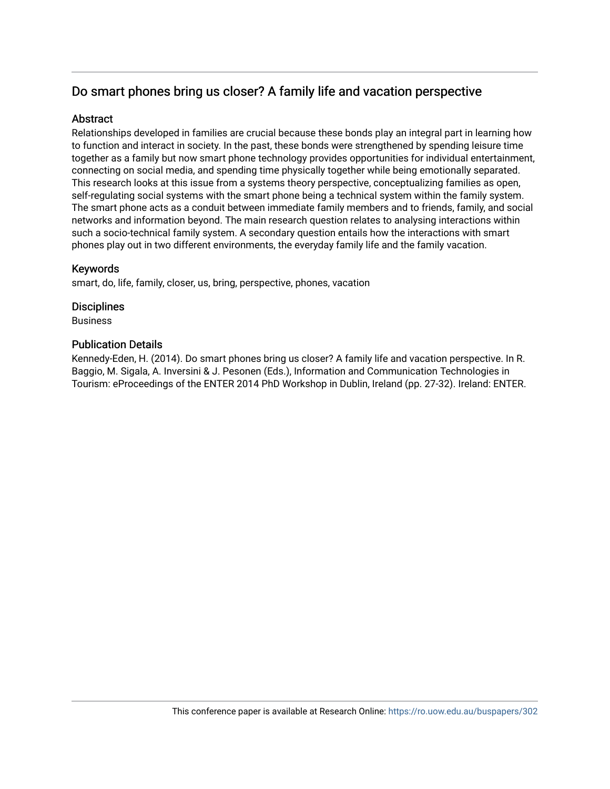# Do smart phones bring us closer? A family life and vacation perspective

# Abstract

Relationships developed in families are crucial because these bonds play an integral part in learning how to function and interact in society. In the past, these bonds were strengthened by spending leisure time together as a family but now smart phone technology provides opportunities for individual entertainment, connecting on social media, and spending time physically together while being emotionally separated. This research looks at this issue from a systems theory perspective, conceptualizing families as open, self-regulating social systems with the smart phone being a technical system within the family system. The smart phone acts as a conduit between immediate family members and to friends, family, and social networks and information beyond. The main research question relates to analysing interactions within such a socio-technical family system. A secondary question entails how the interactions with smart phones play out in two different environments, the everyday family life and the family vacation.

## Keywords

smart, do, life, family, closer, us, bring, perspective, phones, vacation

### **Disciplines**

Business

## Publication Details

Kennedy-Eden, H. (2014). Do smart phones bring us closer? A family life and vacation perspective. In R. Baggio, M. Sigala, A. Inversini & J. Pesonen (Eds.), Information and Communication Technologies in Tourism: eProceedings of the ENTER 2014 PhD Workshop in Dublin, Ireland (pp. 27-32). Ireland: ENTER.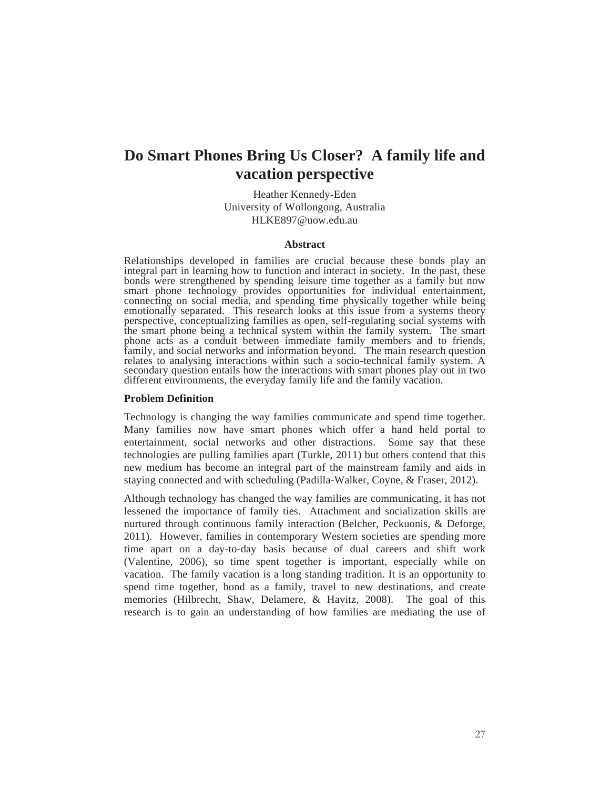# **Do Smart Phones Bring Us Closer? A family life and vacation perspective**

Heather Kennedy-Eden University of Wollongong, Australia HLKE897@uow.edu.au

#### **Abstract**

Relationships developed in families are crucial because these bonds play an integral part in learning how to function and interact in society. In the past, these bonds were strengthened by spending leisure time together as a family but now smart phone technology provides opportunities for individual entertainment, connecting on social media, and spending time physically together while being emotionally separated. This research looks at this issue from a systems theory perspective, conceptualizing families as open, self-regulating social systems with the smart phone being a technical system within the family system. The smart phone acts as a conduit between immediate family members and to friends, family, and social networks and information beyond. The main research question relates to analysing interactions within such a socio-technical family system. A secondary question entails how the interactions with smart phones play out in two different environments, the everyday family life and the family vacation.

#### **Problem Definition**

Technology is changing the way families communicate and spend time together. Many families now have smart phones which offer a hand held portal to entertainment, social networks and other distractions. Some say that these technologies are pulling families apart (Turkle, 2011) but others contend that this new medium has become an integral part of the mainstream family and aids in staying connected and with scheduling (Padilla-Walker, Coyne, & Fraser, 2012).

Although technology has changed the way families are communicating, it has not lessened the importance of family ties. Attachment and socialization skills are nurtured through continuous family interaction (Belcher, Peckuonis, & Deforge, 2011). However, families in contemporary Western societies are spending more time apart on a day-to-day basis because of dual careers and shift work (Valentine, 2006), so time spent together is important, especially while on vacation. The family vacation is a long standing tradition. It is an opportunity to spend time together, bond as a family, travel to new destinations, and create memories (Hilbrecht, Shaw, Delamere, & Havitz, 2008). The goal of this research is to gain an understanding of how families are mediating the use of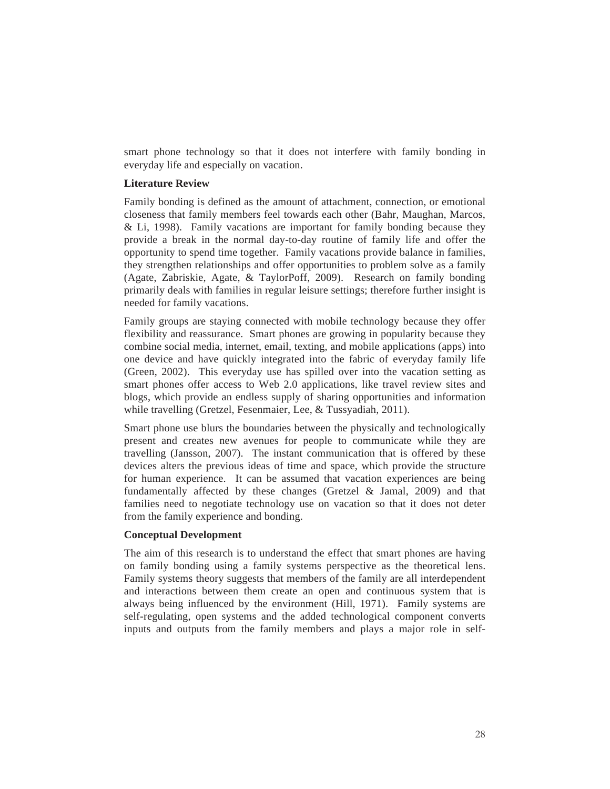smart phone technology so that it does not interfere with family bonding in everyday life and especially on vacation.

### **Literature Review**

Family bonding is defined as the amount of attachment, connection, or emotional closeness that family members feel towards each other (Bahr, Maughan, Marcos, & Li, 1998). Family vacations are important for family bonding because they provide a break in the normal day-to-day routine of family life and offer the opportunity to spend time together. Family vacations provide balance in families, they strengthen relationships and offer opportunities to problem solve as a family (Agate, Zabriskie, Agate, & TaylorPoff, 2009). Research on family bonding primarily deals with families in regular leisure settings; therefore further insight is needed for family vacations.

Family groups are staying connected with mobile technology because they offer flexibility and reassurance. Smart phones are growing in popularity because they combine social media, internet, email, texting, and mobile applications (apps) into one device and have quickly integrated into the fabric of everyday family life (Green, 2002). This everyday use has spilled over into the vacation setting as smart phones offer access to Web 2.0 applications, like travel review sites and blogs, which provide an endless supply of sharing opportunities and information while travelling (Gretzel, Fesenmaier, Lee, & Tussyadiah, 2011).

Smart phone use blurs the boundaries between the physically and technologically present and creates new avenues for people to communicate while they are travelling (Jansson, 2007). The instant communication that is offered by these devices alters the previous ideas of time and space, which provide the structure for human experience. It can be assumed that vacation experiences are being fundamentally affected by these changes (Gretzel & Jamal, 2009) and that families need to negotiate technology use on vacation so that it does not deter from the family experience and bonding.

### **Conceptual Development**

The aim of this research is to understand the effect that smart phones are having on family bonding using a family systems perspective as the theoretical lens. Family systems theory suggests that members of the family are all interdependent and interactions between them create an open and continuous system that is always being influenced by the environment (Hill, 1971). Family systems are self-regulating, open systems and the added technological component converts inputs and outputs from the family members and plays a major role in self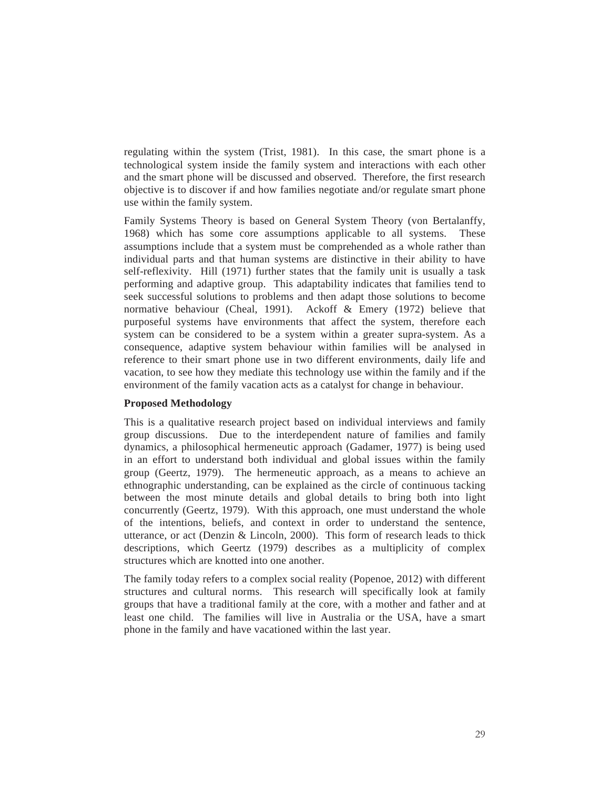regulating within the system (Trist, 1981). In this case, the smart phone is a technological system inside the family system and interactions with each other and the smart phone will be discussed and observed. Therefore, the first research objective is to discover if and how families negotiate and/or regulate smart phone use within the family system.

Family Systems Theory is based on General System Theory (von Bertalanffy, 1968) which has some core assumptions applicable to all systems. These assumptions include that a system must be comprehended as a whole rather than individual parts and that human systems are distinctive in their ability to have self-reflexivity. Hill (1971) further states that the family unit is usually a task performing and adaptive group. This adaptability indicates that families tend to seek successful solutions to problems and then adapt those solutions to become normative behaviour (Cheal, 1991). Ackoff & Emery (1972) believe that purposeful systems have environments that affect the system, therefore each system can be considered to be a system within a greater supra-system. As a consequence, adaptive system behaviour within families will be analysed in reference to their smart phone use in two different environments, daily life and vacation, to see how they mediate this technology use within the family and if the environment of the family vacation acts as a catalyst for change in behaviour.

### **Proposed Methodology**

This is a qualitative research project based on individual interviews and family group discussions. Due to the interdependent nature of families and family dynamics, a philosophical hermeneutic approach (Gadamer, 1977) is being used in an effort to understand both individual and global issues within the family group (Geertz, 1979). The hermeneutic approach, as a means to achieve an ethnographic understanding, can be explained as the circle of continuous tacking between the most minute details and global details to bring both into light concurrently (Geertz, 1979). With this approach, one must understand the whole of the intentions, beliefs, and context in order to understand the sentence, utterance, or act (Denzin & Lincoln, 2000). This form of research leads to thick descriptions, which Geertz (1979) describes as a multiplicity of complex structures which are knotted into one another.

The family today refers to a complex social reality (Popenoe, 2012) with different structures and cultural norms. This research will specifically look at family groups that have a traditional family at the core, with a mother and father and at least one child. The families will live in Australia or the USA, have a smart phone in the family and have vacationed within the last year.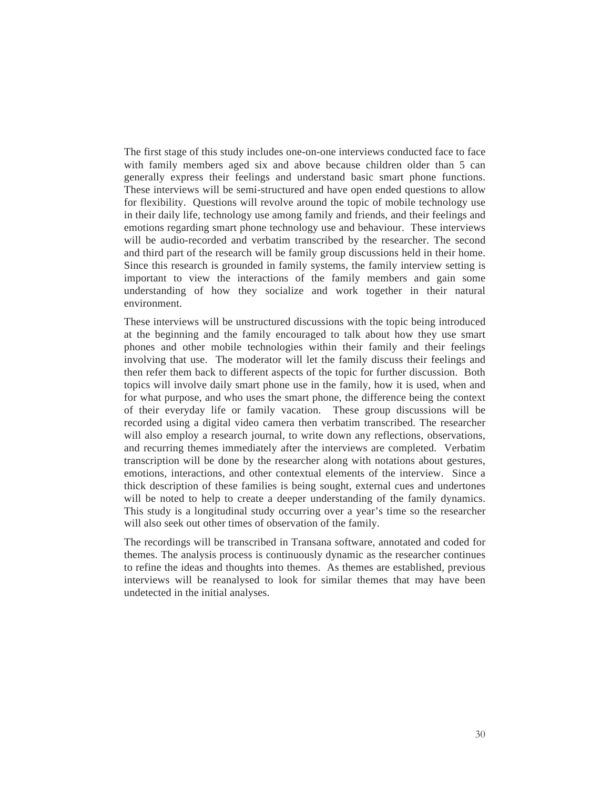The first stage of this study includes one-on-one interviews conducted face to face with family members aged six and above because children older than 5 can generally express their feelings and understand basic smart phone functions. These interviews will be semi-structured and have open ended questions to allow for flexibility. Questions will revolve around the topic of mobile technology use in their daily life, technology use among family and friends, and their feelings and emotions regarding smart phone technology use and behaviour. These interviews will be audio-recorded and verbatim transcribed by the researcher. The second and third part of the research will be family group discussions held in their home. Since this research is grounded in family systems, the family interview setting is important to view the interactions of the family members and gain some understanding of how they socialize and work together in their natural environment.

These interviews will be unstructured discussions with the topic being introduced at the beginning and the family encouraged to talk about how they use smart phones and other mobile technologies within their family and their feelings involving that use. The moderator will let the family discuss their feelings and then refer them back to different aspects of the topic for further discussion. Both topics will involve daily smart phone use in the family, how it is used, when and for what purpose, and who uses the smart phone, the difference being the context of their everyday life or family vacation. These group discussions will be recorded using a digital video camera then verbatim transcribed. The researcher will also employ a research journal, to write down any reflections, observations, and recurring themes immediately after the interviews are completed. Verbatim transcription will be done by the researcher along with notations about gestures, emotions, interactions, and other contextual elements of the interview. Since a thick description of these families is being sought, external cues and undertones will be noted to help to create a deeper understanding of the family dynamics. This study is a longitudinal study occurring over a year's time so the researcher will also seek out other times of observation of the family.

The recordings will be transcribed in Transana software, annotated and coded for themes. The analysis process is continuously dynamic as the researcher continues to refine the ideas and thoughts into themes. As themes are established, previous interviews will be reanalysed to look for similar themes that may have been undetected in the initial analyses.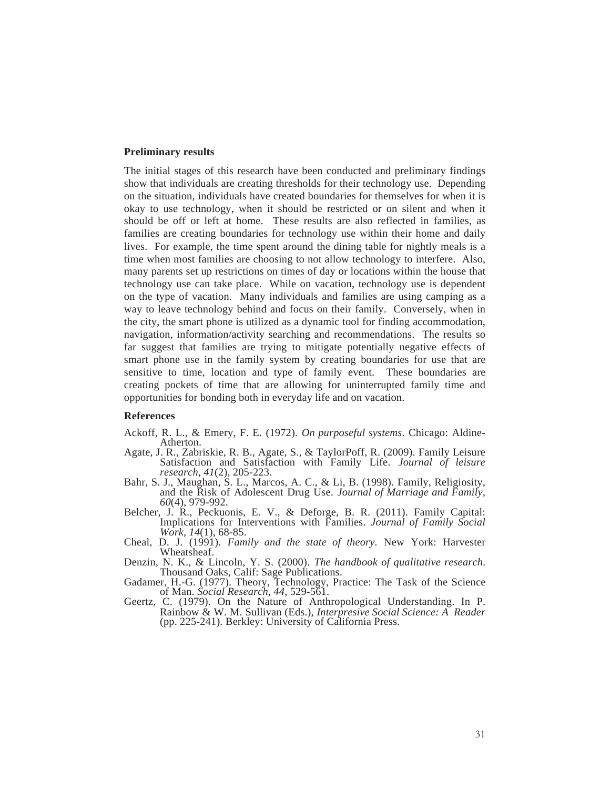#### **Preliminary results**

The initial stages of this research have been conducted and preliminary findings show that individuals are creating thresholds for their technology use. Depending on the situation, individuals have created boundaries for themselves for when it is okay to use technology, when it should be restricted or on silent and when it should be off or left at home. These results are also reflected in families, as families are creating boundaries for technology use within their home and daily lives. For example, the time spent around the dining table for nightly meals is a time when most families are choosing to not allow technology to interfere. Also, many parents set up restrictions on times of day or locations within the house that technology use can take place. While on vacation, technology use is dependent on the type of vacation. Many individuals and families are using camping as a way to leave technology behind and focus on their family. Conversely, when in the city, the smart phone is utilized as a dynamic tool for finding accommodation, navigation, information/activity searching and recommendations. The results so far suggest that families are trying to mitigate potentially negative effects of smart phone use in the family system by creating boundaries for use that are sensitive to time, location and type of family event. These boundaries are creating pockets of time that are allowing for uninterrupted family time and opportunities for bonding both in everyday life and on vacation.

### **References**

- Ackoff, R. L., & Emery, F. E. (1972). *On purposeful systems*. Chicago: Aldine-Atherton.
- Agate, J. R., Zabriskie, R. B., Agate, S., & TaylorPoff, R. (2009). Family Leisure Satisfaction and Satisfaction with Family Life. *Journal of leisure research, 41*(2), 205-223.
- Bahr, S. J., Maughan, S. L., Marcos, A. C., & Li, B. (1998). Family, Religiosity, and the Risk of Adolescent Drug Use. *Journal of Marriage and Family, 60*(4), 979-992.
- Belcher, J. R., Peckuonis, E. V., & Deforge, B. R. (2011). Family Capital: Implications for Interventions with Families. *Journal of Family Social Work, 14*(1), 68-85.
- Cheal, D. J. (1991). *Family and the state of theory*. New York: Harvester Wheatsheaf.
- Denzin, N. K., & Lincoln, Y. S. (2000). *The handbook of qualitative research*. Thousand Oaks, Calif: Sage Publications.
- Gadamer, H.-G. (1977). Theory, Technology, Practice: The Task of the Science of Man. *Social Research, 44*, 529-561.
- Geertz, C. (1979). On the Nature of Anthropological Understanding. In P. Rainbow & W. M. Sullivan (Eds.), *Interpresive Social Science: A Reader* (pp. 225-241). Berkley: University of California Press.